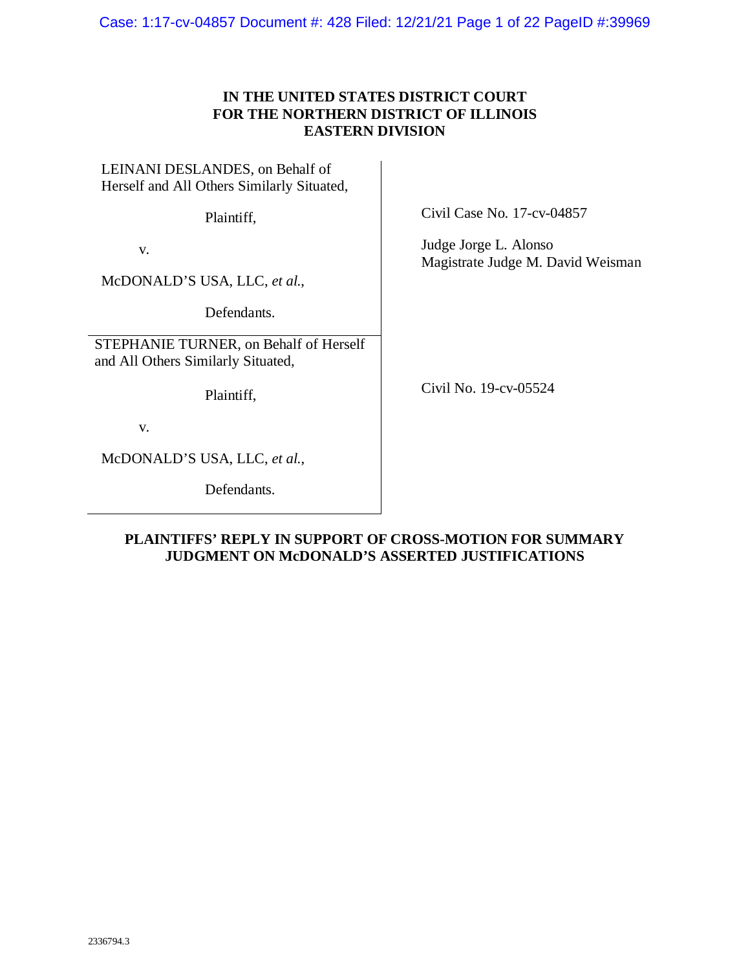Case: 1:17-cv-04857 Document #: 428 Filed: 12/21/21 Page 1 of 22 PageID #:39969

# **IN THE UNITED STATES DISTRICT COURT FOR THE NORTHERN DISTRICT OF ILLINOIS EASTERN DIVISION**

LEINANI DESLANDES, on Behalf of Herself and All Others Similarly Situated,

Plaintiff,

v.

McDONALD'S USA, LLC, *et al.*,

Defendants.

STEPHANIE TURNER, on Behalf of Herself and All Others Similarly Situated,

Plaintiff,

v.

McDONALD'S USA, LLC, *et al.*,

Defendants.

Civil Case No. 17-cv-04857

Judge Jorge L. Alonso Magistrate Judge M. David Weisman

Civil No. 19-cv-05524

## **PLAINTIFFS' REPLY IN SUPPORT OF CROSS-MOTION FOR SUMMARY JUDGMENT ON McDONALD'S ASSERTED JUSTIFICATIONS**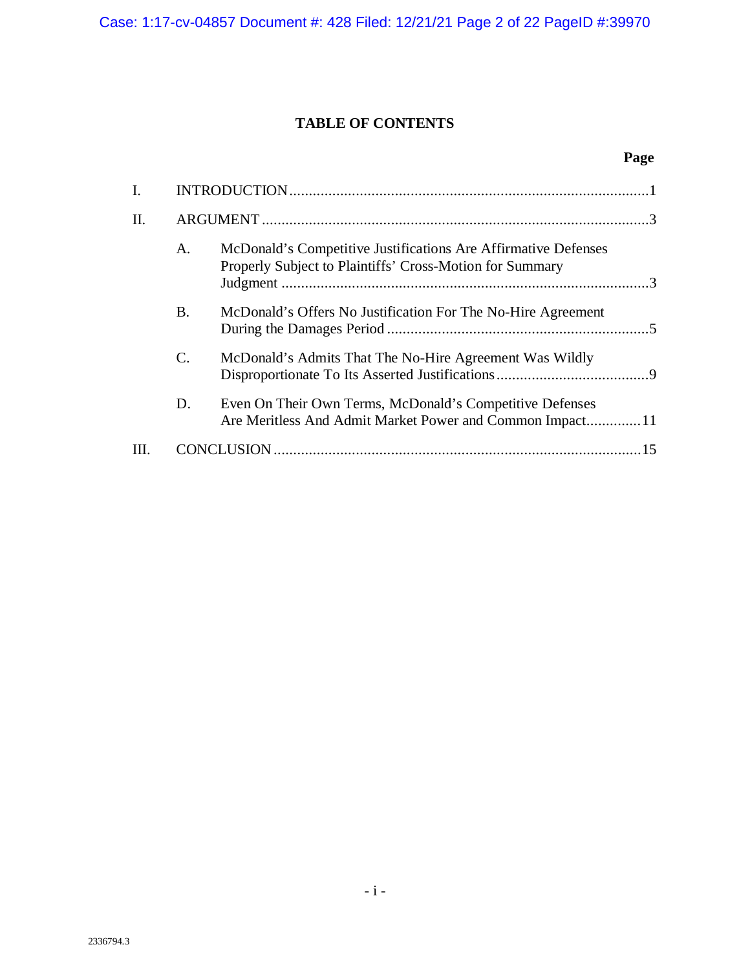# **TABLE OF CONTENTS**

# **Page**

| I. |           |                                                                                                                            |    |
|----|-----------|----------------------------------------------------------------------------------------------------------------------------|----|
| Π. |           |                                                                                                                            |    |
|    | A.        | McDonald's Competitive Justifications Are Affirmative Defenses<br>Properly Subject to Plaintiffs' Cross-Motion for Summary |    |
|    | <b>B.</b> | McDonald's Offers No Justification For The No-Hire Agreement                                                               |    |
|    | C.        | McDonald's Admits That The No-Hire Agreement Was Wildly                                                                    |    |
|    | D.        | Even On Their Own Terms, McDonald's Competitive Defenses<br>Are Meritless And Admit Market Power and Common Impact11       |    |
|    |           |                                                                                                                            | 15 |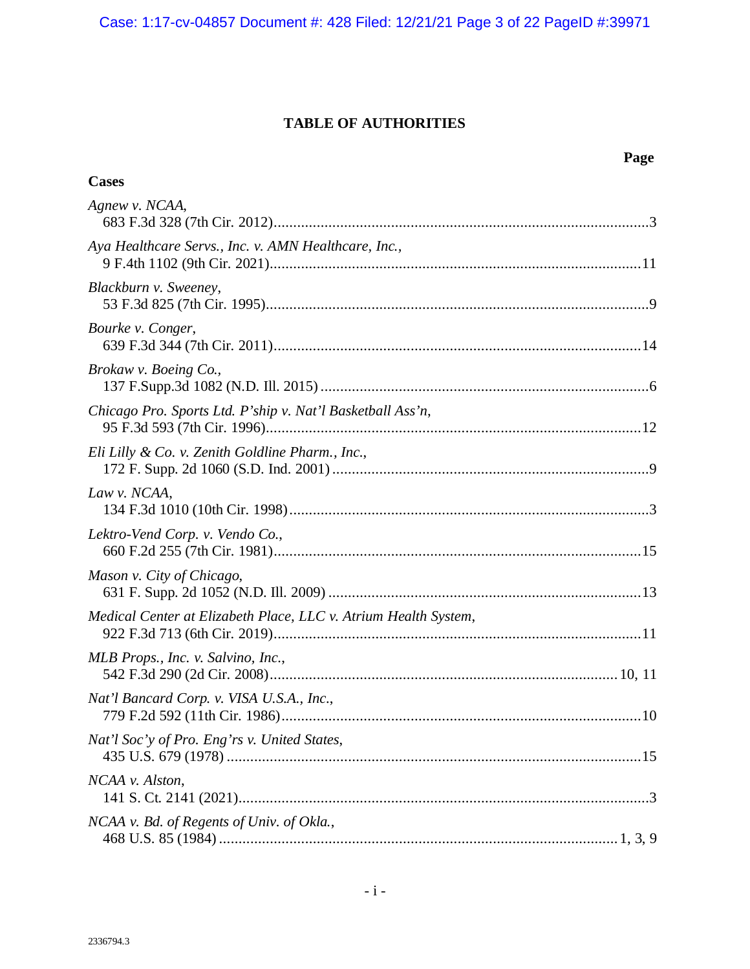# **TABLE OF AUTHORITIES**

|                                                                 | Page |
|-----------------------------------------------------------------|------|
| <b>Cases</b>                                                    |      |
| Agnew v. NCAA,                                                  |      |
| Aya Healthcare Servs., Inc. v. AMN Healthcare, Inc.,            |      |
| Blackburn v. Sweeney,                                           |      |
| Bourke v. Conger,                                               |      |
| Brokaw v. Boeing Co.,                                           |      |
| Chicago Pro. Sports Ltd. P'ship v. Nat'l Basketball Ass'n,      |      |
| Eli Lilly & Co. v. Zenith Goldline Pharm., Inc.,                |      |
| Law v. NCAA,                                                    |      |
| Lektro-Vend Corp. v. Vendo Co.,                                 |      |
| Mason v. City of Chicago,                                       |      |
| Medical Center at Elizabeth Place, LLC v. Atrium Health System, |      |
| MLB Props., Inc. v. Salvino, Inc.,                              |      |
| Nat'l Bancard Corp. v. VISA U.S.A., Inc.,                       |      |
| Nat'l Soc'y of Pro. Eng'rs v. United States,                    |      |
| NCAA v. Alston,                                                 |      |
| NCAA v. Bd. of Regents of Univ. of Okla.,                       |      |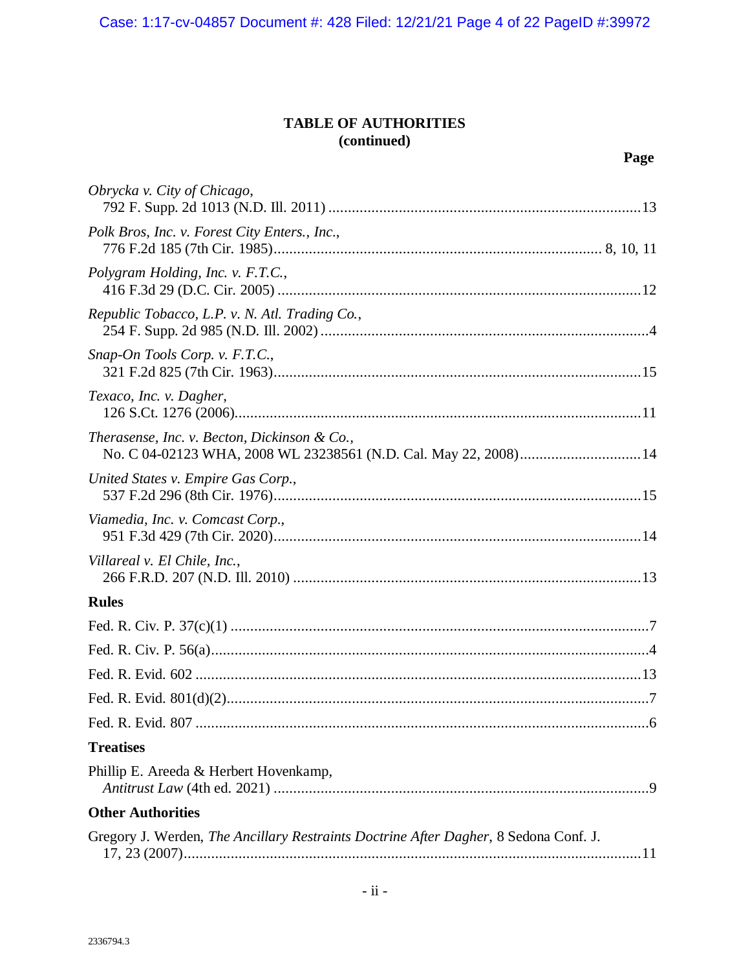# **TABLE OF AUTHORITIES (continued)**

| Obrycka v. City of Chicago,                                                                                      |
|------------------------------------------------------------------------------------------------------------------|
| Polk Bros, Inc. v. Forest City Enters., Inc.,                                                                    |
| Polygram Holding, Inc. v. F.T.C.,                                                                                |
| Republic Tobacco, L.P. v. N. Atl. Trading Co.,                                                                   |
| Snap-On Tools Corp. v. F.T.C.,                                                                                   |
| Texaco, Inc. v. Dagher,                                                                                          |
| Therasense, Inc. v. Becton, Dickinson & Co.,<br>No. C 04-02123 WHA, 2008 WL 23238561 (N.D. Cal. May 22, 2008) 14 |
| United States v. Empire Gas Corp.,                                                                               |
| Viamedia, Inc. v. Comcast Corp.,                                                                                 |
| Villareal v. El Chile, Inc.,                                                                                     |
| <b>Rules</b>                                                                                                     |
|                                                                                                                  |
|                                                                                                                  |
|                                                                                                                  |
|                                                                                                                  |
|                                                                                                                  |
| <b>Treatises</b>                                                                                                 |
| Phillip E. Areeda & Herbert Hovenkamp,                                                                           |
| <b>Other Authorities</b>                                                                                         |
| Gregory J. Werden, The Ancillary Restraints Doctrine After Dagher, 8 Sedona Conf. J.                             |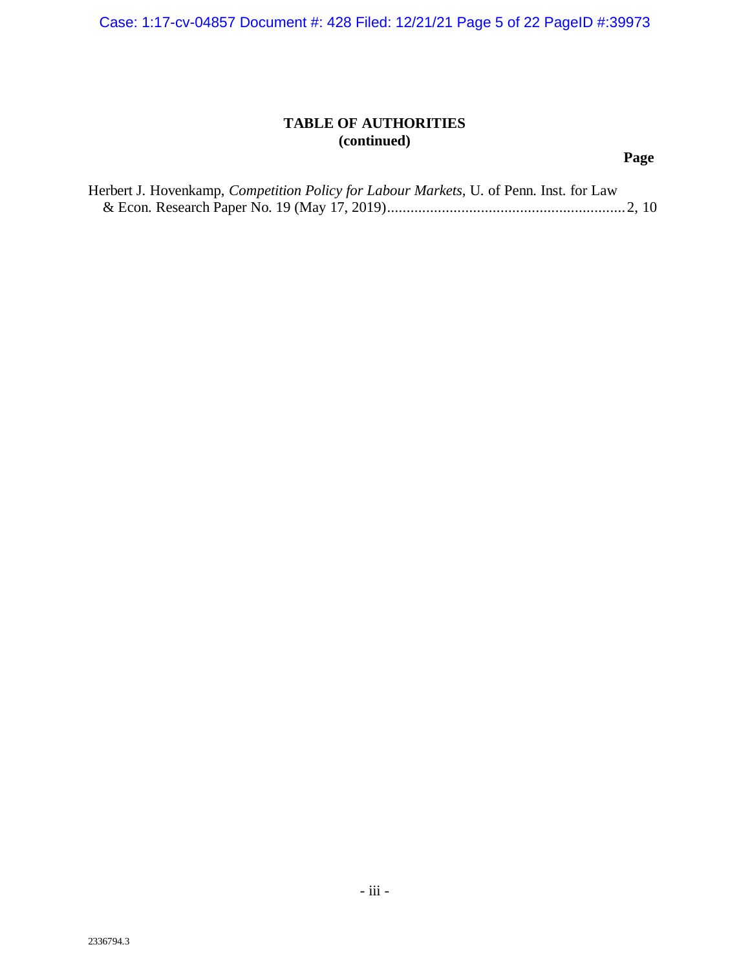Case: 1:17-cv-04857 Document #: 428 Filed: 12/21/21 Page 5 of 22 PageID #:39973

# **TABLE OF AUTHORITIES (continued)**

# **Page**

| Herbert J. Hovenkamp, <i>Competition Policy for Labour Markets</i> , U. of Penn. Inst. for Law |  |  |
|------------------------------------------------------------------------------------------------|--|--|
|                                                                                                |  |  |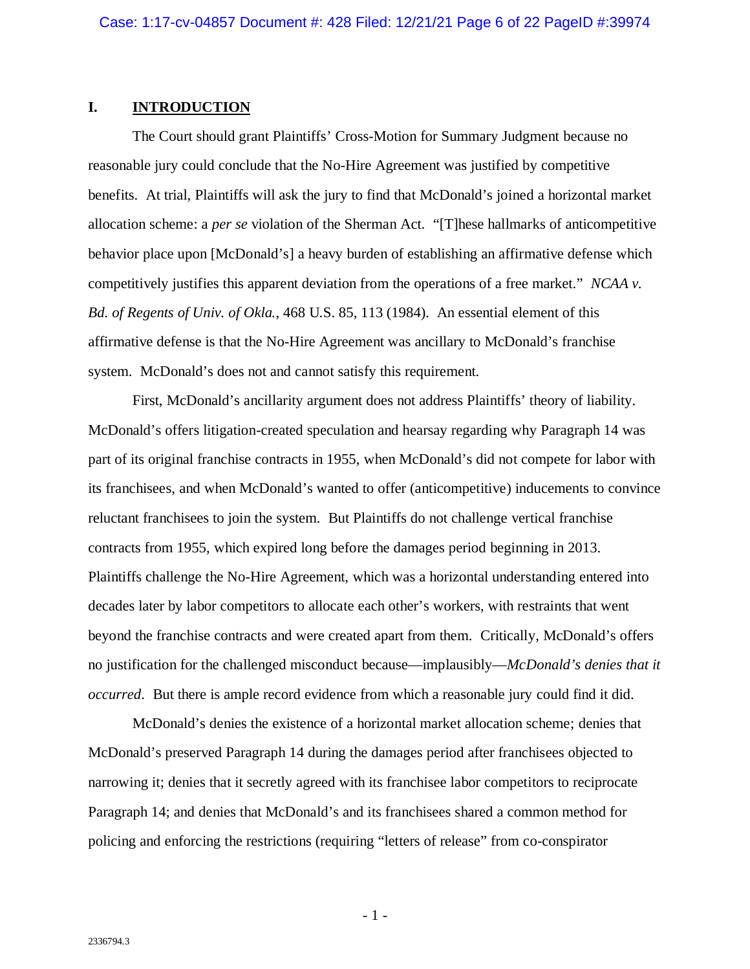#### <span id="page-5-0"></span>**I. INTRODUCTION**

The Court should grant Plaintiffs' Cross-Motion for Summary Judgment because no reasonable jury could conclude that the No-Hire Agreement was justified by competitive benefits. At trial, Plaintiffs will ask the jury to find that McDonald's joined a horizontal market allocation scheme: a *per se* violation of the Sherman Act. "[T]hese hallmarks of anticompetitive behavior place upon [McDonald's] a heavy burden of establishing an affirmative defense which competitively justifies this apparent deviation from the operations of a free market." *NCAA v. Bd. of Regents of Univ. of Okla.*, 468 U.S. 85, 113 (1984). An essential element of this affirmative defense is that the No-Hire Agreement was ancillary to McDonald's franchise system. McDonald's does not and cannot satisfy this requirement.

First, McDonald's ancillarity argument does not address Plaintiffs' theory of liability. McDonald's offers litigation-created speculation and hearsay regarding why Paragraph 14 was part of its original franchise contracts in 1955, when McDonald's did not compete for labor with its franchisees, and when McDonald's wanted to offer (anticompetitive) inducements to convince reluctant franchisees to join the system. But Plaintiffs do not challenge vertical franchise contracts from 1955, which expired long before the damages period beginning in 2013. Plaintiffs challenge the No-Hire Agreement, which was a horizontal understanding entered into decades later by labor competitors to allocate each other's workers, with restraints that went beyond the franchise contracts and were created apart from them. Critically, McDonald's offers no justification for the challenged misconduct because—implausibly—*McDonald's denies that it occurred*. But there is ample record evidence from which a reasonable jury could find it did.

McDonald's denies the existence of a horizontal market allocation scheme; denies that McDonald's preserved Paragraph 14 during the damages period after franchisees objected to narrowing it; denies that it secretly agreed with its franchisee labor competitors to reciprocate Paragraph 14; and denies that McDonald's and its franchisees shared a common method for policing and enforcing the restrictions (requiring "letters of release" from co-conspirator

- 1 -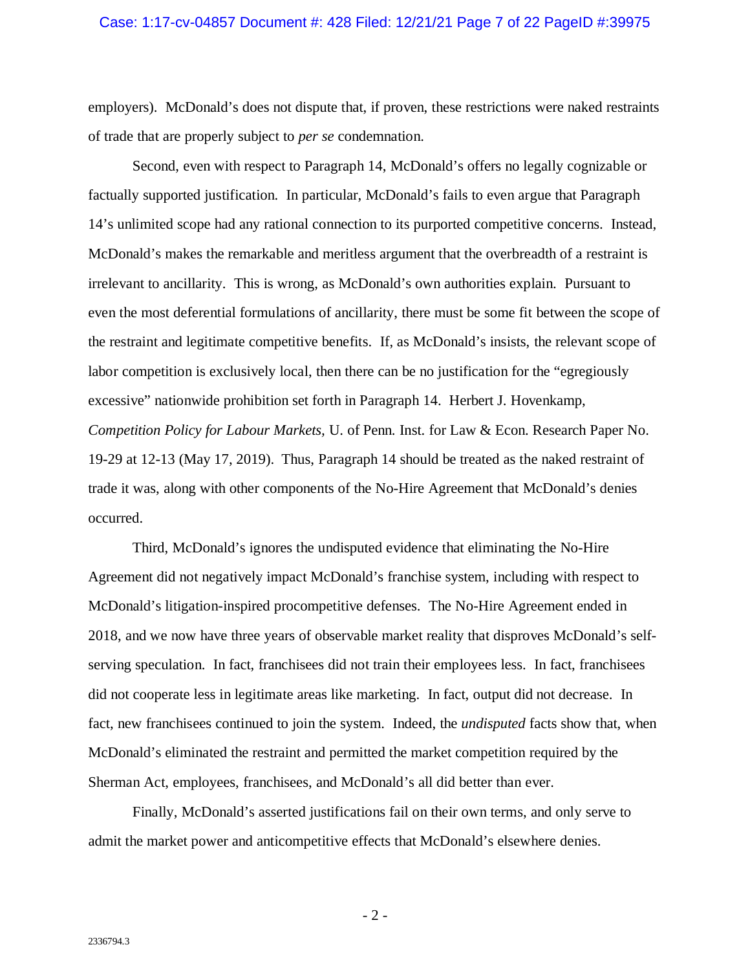employers). McDonald's does not dispute that, if proven, these restrictions were naked restraints of trade that are properly subject to *per se* condemnation.

Second, even with respect to Paragraph 14, McDonald's offers no legally cognizable or factually supported justification. In particular, McDonald's fails to even argue that Paragraph 14's unlimited scope had any rational connection to its purported competitive concerns. Instead, McDonald's makes the remarkable and meritless argument that the overbreadth of a restraint is irrelevant to ancillarity. This is wrong, as McDonald's own authorities explain. Pursuant to even the most deferential formulations of ancillarity, there must be some fit between the scope of the restraint and legitimate competitive benefits. If, as McDonald's insists, the relevant scope of labor competition is exclusively local, then there can be no justification for the "egregiously excessive" nationwide prohibition set forth in Paragraph 14. Herbert J. Hovenkamp, *Competition Policy for Labour Markets,* U. of Penn. Inst. for Law & Econ. Research Paper No. 19-29 at 12-13 (May 17, 2019). Thus, Paragraph 14 should be treated as the naked restraint of trade it was, along with other components of the No-Hire Agreement that McDonald's denies occurred.

Third, McDonald's ignores the undisputed evidence that eliminating the No-Hire Agreement did not negatively impact McDonald's franchise system, including with respect to McDonald's litigation-inspired procompetitive defenses. The No-Hire Agreement ended in 2018, and we now have three years of observable market reality that disproves McDonald's selfserving speculation. In fact, franchisees did not train their employees less. In fact, franchisees did not cooperate less in legitimate areas like marketing. In fact, output did not decrease. In fact, new franchisees continued to join the system. Indeed, the *undisputed* facts show that, when McDonald's eliminated the restraint and permitted the market competition required by the Sherman Act, employees, franchisees, and McDonald's all did better than ever.

Finally, McDonald's asserted justifications fail on their own terms, and only serve to admit the market power and anticompetitive effects that McDonald's elsewhere denies.

- 2 -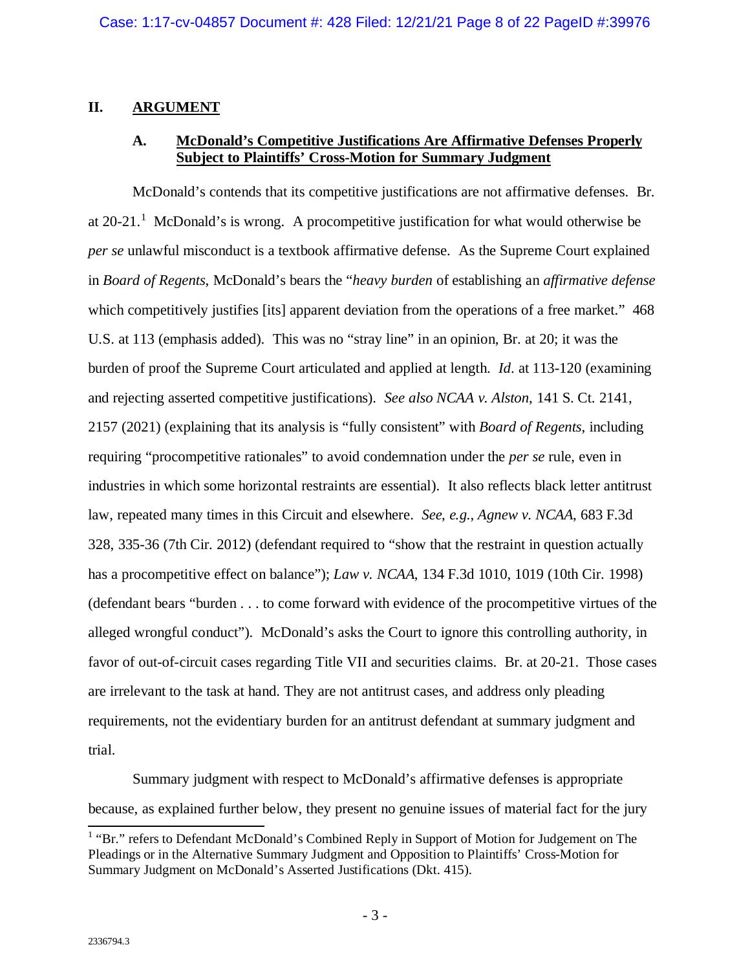### <span id="page-7-1"></span><span id="page-7-0"></span>**II. ARGUMENT**

# **A. McDonald's Competitive Justifications Are Affirmative Defenses Properly Subject to Plaintiffs' Cross-Motion for Summary Judgment**

McDonald's contends that its competitive justifications are not affirmative defenses. Br. at  $20-21$  $20-21$ .<sup>1</sup> McDonald's is wrong. A procompetitive justification for what would otherwise be *per se* unlawful misconduct is a textbook affirmative defense. As the Supreme Court explained in *Board of Regents*, McDonald's bears the "*heavy burden* of establishing an *affirmative defense* which competitively justifies [its] apparent deviation from the operations of a free market." 468 U.S. at 113 (emphasis added). This was no "stray line" in an opinion, Br. at 20; it was the burden of proof the Supreme Court articulated and applied at length. *Id*. at 113-120 (examining and rejecting asserted competitive justifications). *See also NCAA v. Alston*, 141 S. Ct. 2141, 2157 (2021) (explaining that its analysis is "fully consistent" with *Board of Regents*, including requiring "procompetitive rationales" to avoid condemnation under the *per se* rule, even in industries in which some horizontal restraints are essential). It also reflects black letter antitrust law, repeated many times in this Circuit and elsewhere. *See*, *e.g.*, *Agnew v. NCAA*, 683 F.3d 328, 335-36 (7th Cir. 2012) (defendant required to "show that the restraint in question actually has a procompetitive effect on balance"); *Law v. NCAA*, 134 F.3d 1010, 1019 (10th Cir. 1998) (defendant bears "burden . . . to come forward with evidence of the procompetitive virtues of the alleged wrongful conduct"). McDonald's asks the Court to ignore this controlling authority, in favor of out-of-circuit cases regarding Title VII and securities claims. Br. at 20-21. Those cases are irrelevant to the task at hand. They are not antitrust cases, and address only pleading requirements, not the evidentiary burden for an antitrust defendant at summary judgment and trial.

Summary judgment with respect to McDonald's affirmative defenses is appropriate because, as explained further below, they present no genuine issues of material fact for the jury

<span id="page-7-2"></span><sup>&</sup>lt;sup>1</sup> "Br." refers to Defendant McDonald's Combined Reply in Support of Motion for Judgement on The Pleadings or in the Alternative Summary Judgment and Opposition to Plaintiffs' Cross-Motion for Summary Judgment on McDonald's Asserted Justifications (Dkt. 415).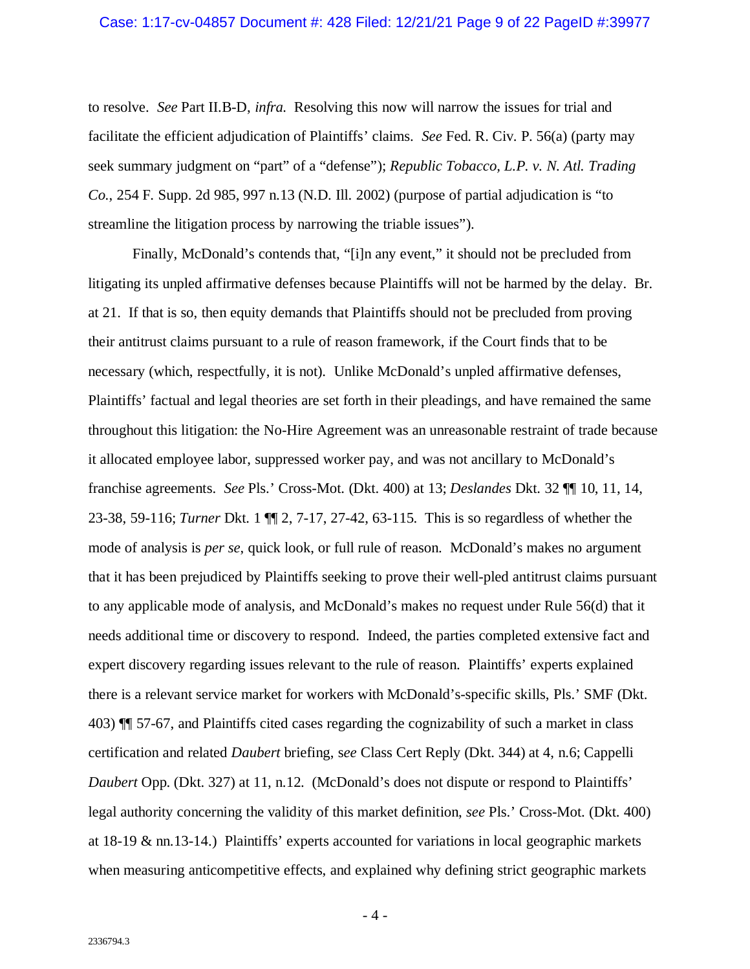#### Case: 1:17-cv-04857 Document #: 428 Filed: 12/21/21 Page 9 of 22 PageID #:39977

to resolve. *See* Part II.B-D, *infra.* Resolving this now will narrow the issues for trial and facilitate the efficient adjudication of Plaintiffs' claims. *See* Fed. R. Civ. P. 56(a) (party may seek summary judgment on "part" of a "defense"); *Republic Tobacco, L.P. v. N. Atl. Trading Co.*, 254 F. Supp. 2d 985, 997 n.13 (N.D. Ill. 2002) (purpose of partial adjudication is "to streamline the litigation process by narrowing the triable issues").

Finally, McDonald's contends that, "[i]n any event," it should not be precluded from litigating its unpled affirmative defenses because Plaintiffs will not be harmed by the delay. Br. at 21. If that is so, then equity demands that Plaintiffs should not be precluded from proving their antitrust claims pursuant to a rule of reason framework, if the Court finds that to be necessary (which, respectfully, it is not). Unlike McDonald's unpled affirmative defenses, Plaintiffs' factual and legal theories are set forth in their pleadings, and have remained the same throughout this litigation: the No-Hire Agreement was an unreasonable restraint of trade because it allocated employee labor, suppressed worker pay, and was not ancillary to McDonald's franchise agreements. *See* Pls.' Cross-Mot. (Dkt. 400) at 13; *Deslandes* Dkt. 32 ¶¶ 10, 11, 14, 23-38, 59-116; *Turner* Dkt. 1 ¶¶ 2, 7-17, 27-42, 63-115. This is so regardless of whether the mode of analysis is *per se*, quick look, or full rule of reason. McDonald's makes no argument that it has been prejudiced by Plaintiffs seeking to prove their well-pled antitrust claims pursuant to any applicable mode of analysis, and McDonald's makes no request under Rule 56(d) that it needs additional time or discovery to respond. Indeed, the parties completed extensive fact and expert discovery regarding issues relevant to the rule of reason. Plaintiffs' experts explained there is a relevant service market for workers with McDonald's-specific skills, Pls.' SMF (Dkt. 403) ¶¶ 57-67, and Plaintiffs cited cases regarding the cognizability of such a market in class certification and related *Daubert* briefing, s*ee* Class Cert Reply (Dkt. 344) at 4, n.6; Cappelli *Daubert Opp.* (Dkt. 327) at 11, n.12. (McDonald's does not dispute or respond to Plaintiffs' legal authority concerning the validity of this market definition, *see* Pls.' Cross-Mot. (Dkt. 400) at 18-19 & nn.13-14.) Plaintiffs' experts accounted for variations in local geographic markets when measuring anticompetitive effects, and explained why defining strict geographic markets

 $-4-$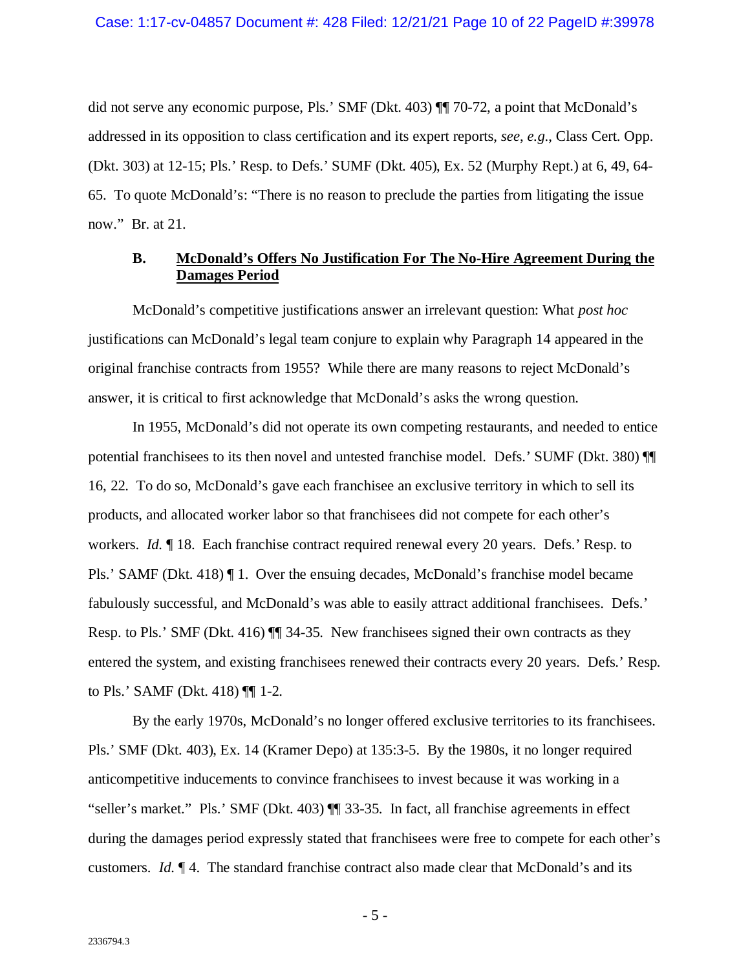did not serve any economic purpose, Pls.' SMF (Dkt. 403) ¶¶ 70-72, a point that McDonald's addressed in its opposition to class certification and its expert reports, *see*, *e.g.*, Class Cert. Opp. (Dkt. 303) at 12-15; Pls.' Resp. to Defs.' SUMF (Dkt. 405), Ex. 52 (Murphy Rept.) at 6, 49, 64- 65. To quote McDonald's: "There is no reason to preclude the parties from litigating the issue now." Br. at 21.

### <span id="page-9-0"></span>**B. McDonald's Offers No Justification For The No-Hire Agreement During the Damages Period**

McDonald's competitive justifications answer an irrelevant question: What *post hoc* justifications can McDonald's legal team conjure to explain why Paragraph 14 appeared in the original franchise contracts from 1955? While there are many reasons to reject McDonald's answer, it is critical to first acknowledge that McDonald's asks the wrong question.

In 1955, McDonald's did not operate its own competing restaurants, and needed to entice potential franchisees to its then novel and untested franchise model. Defs.' SUMF (Dkt. 380) ¶¶ 16, 22. To do so, McDonald's gave each franchisee an exclusive territory in which to sell its products, and allocated worker labor so that franchisees did not compete for each other's workers. *Id.* ¶ 18. Each franchise contract required renewal every 20 years. Defs.' Resp. to Pls.' SAMF (Dkt. 418) ¶ 1. Over the ensuing decades, McDonald's franchise model became fabulously successful, and McDonald's was able to easily attract additional franchisees. Defs.' Resp. to Pls.' SMF (Dkt. 416) ¶¶ 34-35. New franchisees signed their own contracts as they entered the system, and existing franchisees renewed their contracts every 20 years. Defs.' Resp. to Pls.' SAMF (Dkt. 418) ¶¶ 1-2.

By the early 1970s, McDonald's no longer offered exclusive territories to its franchisees. Pls.' SMF (Dkt. 403), Ex. 14 (Kramer Depo) at 135:3-5. By the 1980s, it no longer required anticompetitive inducements to convince franchisees to invest because it was working in a "seller's market." Pls.' SMF (Dkt. 403) ¶¶ 33-35. In fact, all franchise agreements in effect during the damages period expressly stated that franchisees were free to compete for each other's customers. *Id.* ¶ 4. The standard franchise contract also made clear that McDonald's and its

- 5 -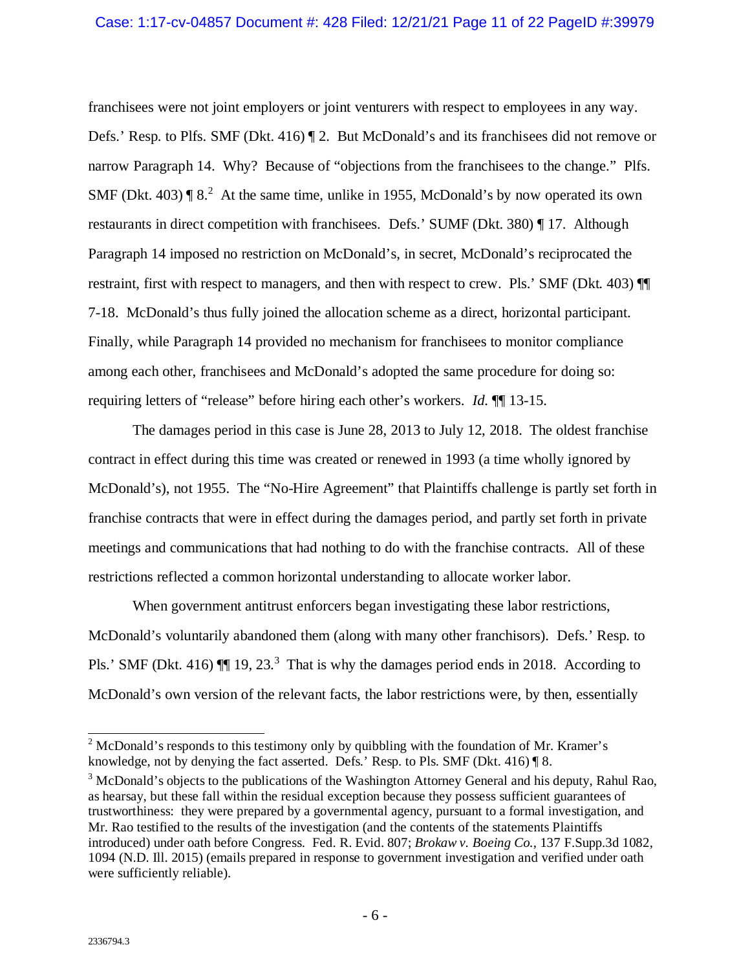franchisees were not joint employers or joint venturers with respect to employees in any way. Defs.' Resp. to Plfs. SMF (Dkt. 416) ¶ 2. But McDonald's and its franchisees did not remove or narrow Paragraph 14. Why? Because of "objections from the franchisees to the change." Plfs. SMF (Dkt. 403)  $\llbracket 8.2 \rrbracket$  $\llbracket 8.2 \rrbracket$  $\llbracket 8.2 \rrbracket$  At the same time, unlike in 1955, McDonald's by now operated its own restaurants in direct competition with franchisees. Defs.' SUMF (Dkt. 380) ¶ 17. Although Paragraph 14 imposed no restriction on McDonald's, in secret, McDonald's reciprocated the restraint, first with respect to managers, and then with respect to crew. Pls.' SMF (Dkt. 403) ¶¶ 7-18. McDonald's thus fully joined the allocation scheme as a direct, horizontal participant. Finally, while Paragraph 14 provided no mechanism for franchisees to monitor compliance among each other, franchisees and McDonald's adopted the same procedure for doing so: requiring letters of "release" before hiring each other's workers. *Id.* ¶¶ 13-15.

The damages period in this case is June 28, 2013 to July 12, 2018. The oldest franchise contract in effect during this time was created or renewed in 1993 (a time wholly ignored by McDonald's), not 1955. The "No-Hire Agreement" that Plaintiffs challenge is partly set forth in franchise contracts that were in effect during the damages period, and partly set forth in private meetings and communications that had nothing to do with the franchise contracts. All of these restrictions reflected a common horizontal understanding to allocate worker labor.

When government antitrust enforcers began investigating these labor restrictions, McDonald's voluntarily abandoned them (along with many other franchisors). Defs.' Resp. to Pls.' SMF (Dkt. 416)  $\P$  19, 2[3](#page-10-1).<sup>3</sup> That is why the damages period ends in 2018. According to McDonald's own version of the relevant facts, the labor restrictions were, by then, essentially

<span id="page-10-0"></span><sup>&</sup>lt;sup>2</sup> McDonald's responds to this testimony only by quibbling with the foundation of Mr. Kramer's knowledge, not by denying the fact asserted. Defs.' Resp. to Pls. SMF (Dkt. 416) ¶ 8.

<span id="page-10-1"></span><sup>&</sup>lt;sup>3</sup> McDonald's objects to the publications of the Washington Attorney General and his deputy, Rahul Rao, as hearsay, but these fall within the residual exception because they possess sufficient guarantees of trustworthiness: they were prepared by a governmental agency, pursuant to a formal investigation, and Mr. Rao testified to the results of the investigation (and the contents of the statements Plaintiffs introduced) under oath before Congress. Fed. R. Evid. 807; *Brokaw v. Boeing Co.,* 137 F.Supp.3d 1082, 1094 (N.D. Ill. 2015) (emails prepared in response to government investigation and verified under oath were sufficiently reliable).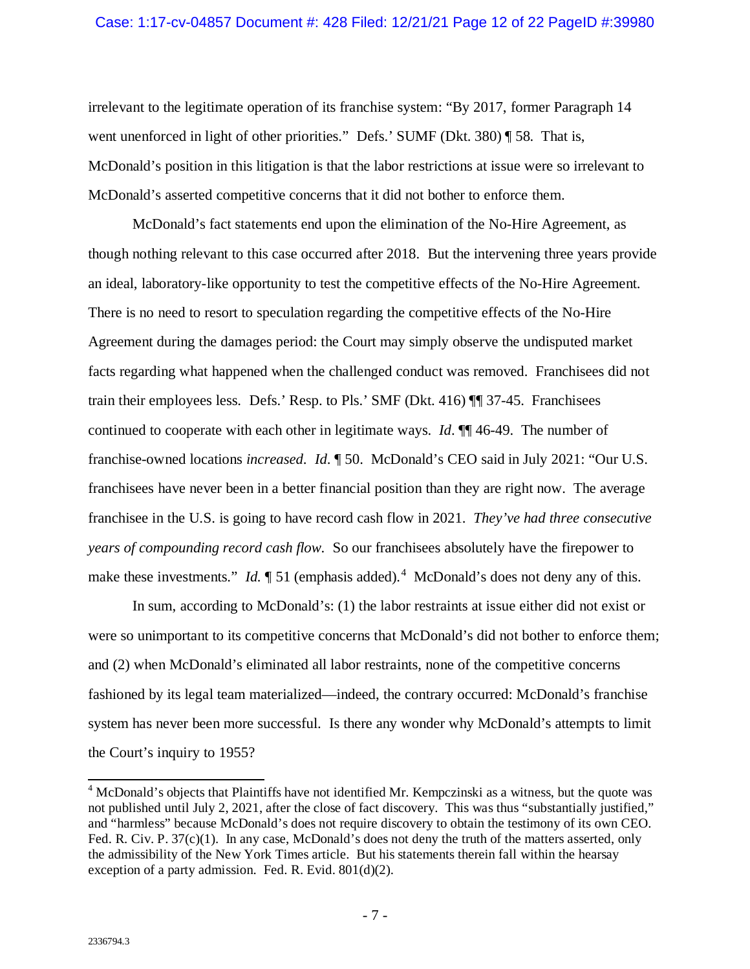irrelevant to the legitimate operation of its franchise system: "By 2017, former Paragraph 14 went unenforced in light of other priorities." Defs.' SUMF (Dkt. 380) ¶ 58. That is, McDonald's position in this litigation is that the labor restrictions at issue were so irrelevant to McDonald's asserted competitive concerns that it did not bother to enforce them.

McDonald's fact statements end upon the elimination of the No-Hire Agreement, as though nothing relevant to this case occurred after 2018. But the intervening three years provide an ideal, laboratory-like opportunity to test the competitive effects of the No-Hire Agreement. There is no need to resort to speculation regarding the competitive effects of the No-Hire Agreement during the damages period: the Court may simply observe the undisputed market facts regarding what happened when the challenged conduct was removed. Franchisees did not train their employees less. Defs.' Resp. to Pls.' SMF (Dkt. 416) ¶¶ 37-45. Franchisees continued to cooperate with each other in legitimate ways. *Id*. ¶¶ 46-49. The number of franchise-owned locations *increased*. *Id*. ¶ 50. McDonald's CEO said in July 2021: "Our U.S. franchisees have never been in a better financial position than they are right now. The average franchisee in the U.S. is going to have record cash flow in 2021. *They've had three consecutive years of compounding record cash flow*. So our franchisees absolutely have the firepower to make these investments." *Id.*  $\llbracket 51$  (emphasis added).<sup>[4](#page-11-0)</sup> McDonald's does not deny any of this.

In sum, according to McDonald's: (1) the labor restraints at issue either did not exist or were so unimportant to its competitive concerns that McDonald's did not bother to enforce them; and (2) when McDonald's eliminated all labor restraints, none of the competitive concerns fashioned by its legal team materialized—indeed, the contrary occurred: McDonald's franchise system has never been more successful. Is there any wonder why McDonald's attempts to limit the Court's inquiry to 1955?

<span id="page-11-0"></span> <sup>4</sup> McDonald's objects that Plaintiffs have not identified Mr. Kempczinski as a witness, but the quote was not published until July 2, 2021, after the close of fact discovery. This was thus "substantially justified," and "harmless" because McDonald's does not require discovery to obtain the testimony of its own CEO. Fed. R. Civ. P. 37(c)(1). In any case, McDonald's does not deny the truth of the matters asserted, only the admissibility of the New York Times article. But his statements therein fall within the hearsay exception of a party admission. Fed. R. Evid. 801(d)(2).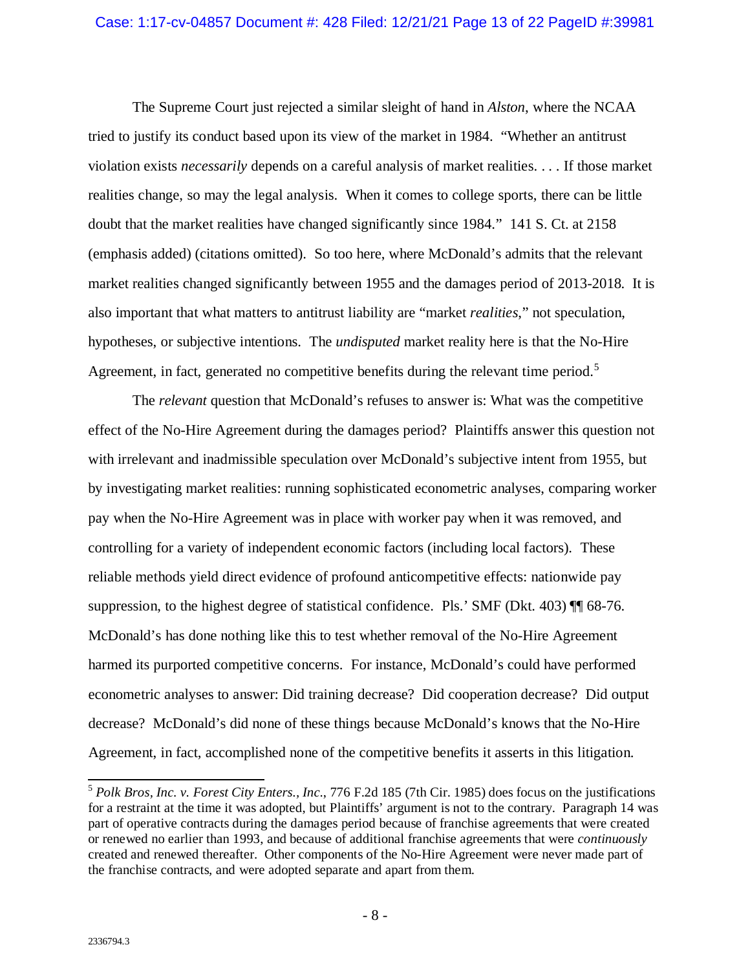The Supreme Court just rejected a similar sleight of hand in *Alston*, where the NCAA tried to justify its conduct based upon its view of the market in 1984. "Whether an antitrust violation exists *necessarily* depends on a careful analysis of market realities. . . . If those market realities change, so may the legal analysis. When it comes to college sports, there can be little doubt that the market realities have changed significantly since 1984." 141 S. Ct. at 2158 (emphasis added) (citations omitted). So too here, where McDonald's admits that the relevant market realities changed significantly between 1955 and the damages period of 2013-2018. It is also important that what matters to antitrust liability are "market *realities*," not speculation, hypotheses, or subjective intentions. The *undisputed* market reality here is that the No-Hire Agreement, in fact, generated no competitive benefits during the relevant time period.<sup>[5](#page-12-0)</sup>

The *relevant* question that McDonald's refuses to answer is: What was the competitive effect of the No-Hire Agreement during the damages period? Plaintiffs answer this question not with irrelevant and inadmissible speculation over McDonald's subjective intent from 1955, but by investigating market realities: running sophisticated econometric analyses, comparing worker pay when the No-Hire Agreement was in place with worker pay when it was removed, and controlling for a variety of independent economic factors (including local factors). These reliable methods yield direct evidence of profound anticompetitive effects: nationwide pay suppression, to the highest degree of statistical confidence. Pls.' SMF (Dkt. 403)  $\P$  68-76. McDonald's has done nothing like this to test whether removal of the No-Hire Agreement harmed its purported competitive concerns. For instance, McDonald's could have performed econometric analyses to answer: Did training decrease? Did cooperation decrease? Did output decrease? McDonald's did none of these things because McDonald's knows that the No-Hire Agreement, in fact, accomplished none of the competitive benefits it asserts in this litigation.

<span id="page-12-0"></span> <sup>5</sup> *Polk Bros, Inc. v. Forest City Enters., Inc.*, 776 F.2d 185 (7th Cir. 1985) does focus on the justifications for a restraint at the time it was adopted, but Plaintiffs' argument is not to the contrary. Paragraph 14 was part of operative contracts during the damages period because of franchise agreements that were created or renewed no earlier than 1993, and because of additional franchise agreements that were *continuously* created and renewed thereafter. Other components of the No-Hire Agreement were never made part of the franchise contracts, and were adopted separate and apart from them.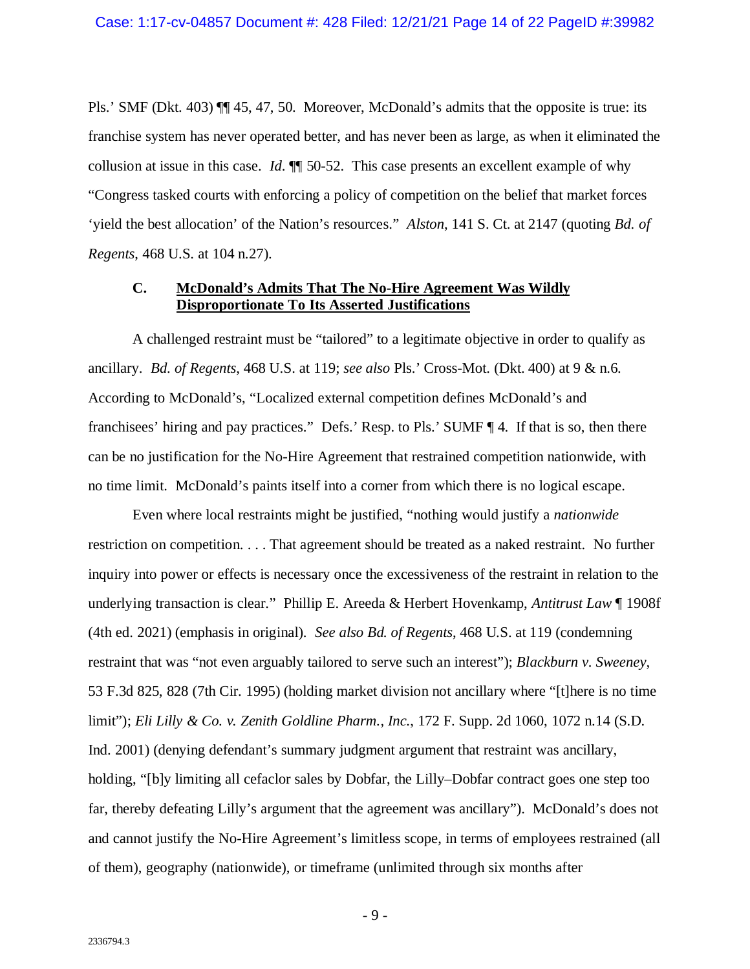Pls.' SMF (Dkt. 403) ¶¶ 45, 47, 50. Moreover, McDonald's admits that the opposite is true: its franchise system has never operated better, and has never been as large, as when it eliminated the collusion at issue in this case. *Id*. ¶¶ 50-52. This case presents an excellent example of why "Congress tasked courts with enforcing a policy of competition on the belief that market forces 'yield the best allocation' of the Nation's resources." *Alston*, 141 S. Ct. at 2147 (quoting *Bd. of Regents*, 468 U.S. at 104 n.27).

### <span id="page-13-0"></span>**C. McDonald's Admits That The No-Hire Agreement Was Wildly Disproportionate To Its Asserted Justifications**

A challenged restraint must be "tailored" to a legitimate objective in order to qualify as ancillary. *Bd. of Regents*, 468 U.S. at 119; *see also* Pls.' Cross-Mot. (Dkt. 400) at 9 & n.6. According to McDonald's, "Localized external competition defines McDonald's and franchisees' hiring and pay practices." Defs.' Resp. to Pls.' SUMF ¶ 4. If that is so, then there can be no justification for the No-Hire Agreement that restrained competition nationwide, with no time limit. McDonald's paints itself into a corner from which there is no logical escape.

Even where local restraints might be justified, "nothing would justify a *nationwide* restriction on competition. . . . That agreement should be treated as a naked restraint. No further inquiry into power or effects is necessary once the excessiveness of the restraint in relation to the underlying transaction is clear." Phillip E. Areeda & Herbert Hovenkamp, *Antitrust Law* ¶ 1908f (4th ed. 2021) (emphasis in original). *See also Bd. of Regents*, 468 U.S. at 119 (condemning restraint that was "not even arguably tailored to serve such an interest"); *Blackburn v. Sweeney*, 53 F.3d 825, 828 (7th Cir. 1995) (holding market division not ancillary where "[t]here is no time limit"); *Eli Lilly & Co. v. Zenith Goldline Pharm., Inc.*, 172 F. Supp. 2d 1060, 1072 n.14 (S.D. Ind. 2001) (denying defendant's summary judgment argument that restraint was ancillary, holding, "[b]y limiting all cefaclor sales by Dobfar, the Lilly–Dobfar contract goes one step too far, thereby defeating Lilly's argument that the agreement was ancillary"). McDonald's does not and cannot justify the No-Hire Agreement's limitless scope, in terms of employees restrained (all of them), geography (nationwide), or timeframe (unlimited through six months after

- 9 -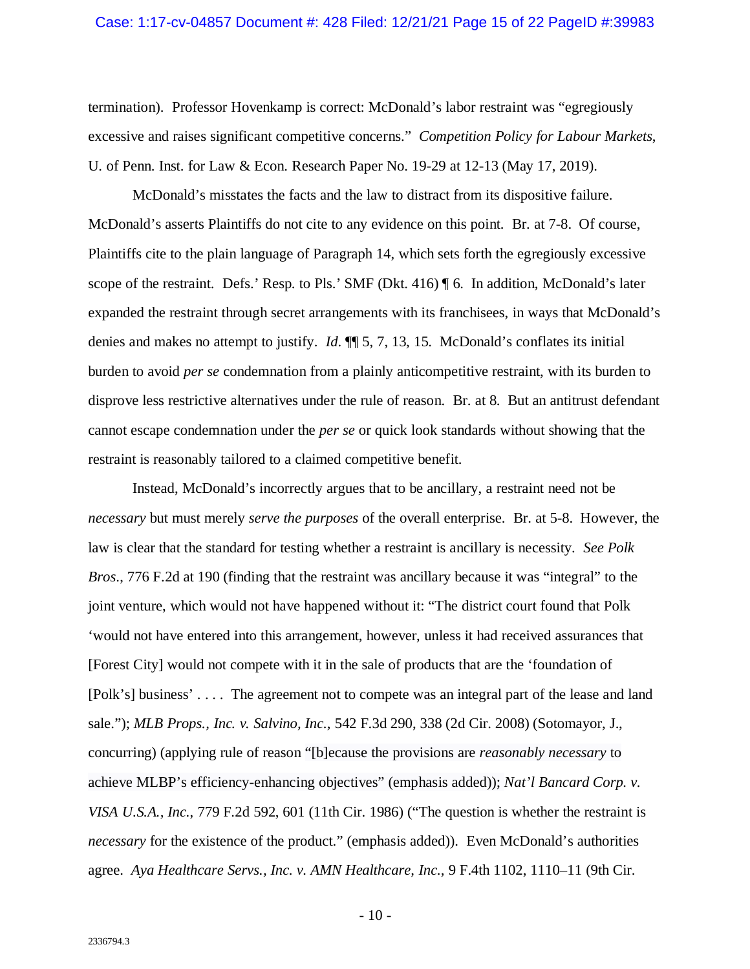#### Case: 1:17-cv-04857 Document #: 428 Filed: 12/21/21 Page 15 of 22 PageID #:39983

termination). Professor Hovenkamp is correct: McDonald's labor restraint was "egregiously excessive and raises significant competitive concerns." *Competition Policy for Labour Markets*, U. of Penn. Inst. for Law & Econ. Research Paper No. 19-29 at 12-13 (May 17, 2019).

McDonald's misstates the facts and the law to distract from its dispositive failure. McDonald's asserts Plaintiffs do not cite to any evidence on this point. Br. at 7-8. Of course, Plaintiffs cite to the plain language of Paragraph 14, which sets forth the egregiously excessive scope of the restraint. Defs.' Resp. to Pls.' SMF (Dkt. 416) ¶ 6. In addition, McDonald's later expanded the restraint through secret arrangements with its franchisees, in ways that McDonald's denies and makes no attempt to justify. *Id*. ¶¶ 5, 7, 13, 15. McDonald's conflates its initial burden to avoid *per se* condemnation from a plainly anticompetitive restraint, with its burden to disprove less restrictive alternatives under the rule of reason. Br. at 8. But an antitrust defendant cannot escape condemnation under the *per se* or quick look standards without showing that the restraint is reasonably tailored to a claimed competitive benefit.

Instead, McDonald's incorrectly argues that to be ancillary, a restraint need not be *necessary* but must merely *serve the purposes* of the overall enterprise. Br. at 5-8. However, the law is clear that the standard for testing whether a restraint is ancillary is necessity. *See Polk Bros*., 776 F.2d at 190 (finding that the restraint was ancillary because it was "integral" to the joint venture, which would not have happened without it: "The district court found that Polk 'would not have entered into this arrangement, however, unless it had received assurances that [Forest City] would not compete with it in the sale of products that are the 'foundation of [Polk's] business' . . . . The agreement not to compete was an integral part of the lease and land sale."); *MLB Props., Inc. v. Salvino, Inc.*, 542 F.3d 290, 338 (2d Cir. 2008) (Sotomayor, J., concurring) (applying rule of reason "[b]ecause the provisions are *reasonably necessary* to achieve MLBP's efficiency-enhancing objectives" (emphasis added)); *Nat'l Bancard Corp. v. VISA U.S.A., Inc.*, 779 F.2d 592, 601 (11th Cir. 1986) ("The question is whether the restraint is *necessary* for the existence of the product." (emphasis added)). Even McDonald's authorities agree. *Aya Healthcare Servs., Inc. v. AMN Healthcare, Inc.,* 9 F.4th 1102, 1110–11 (9th Cir.

 $-10-$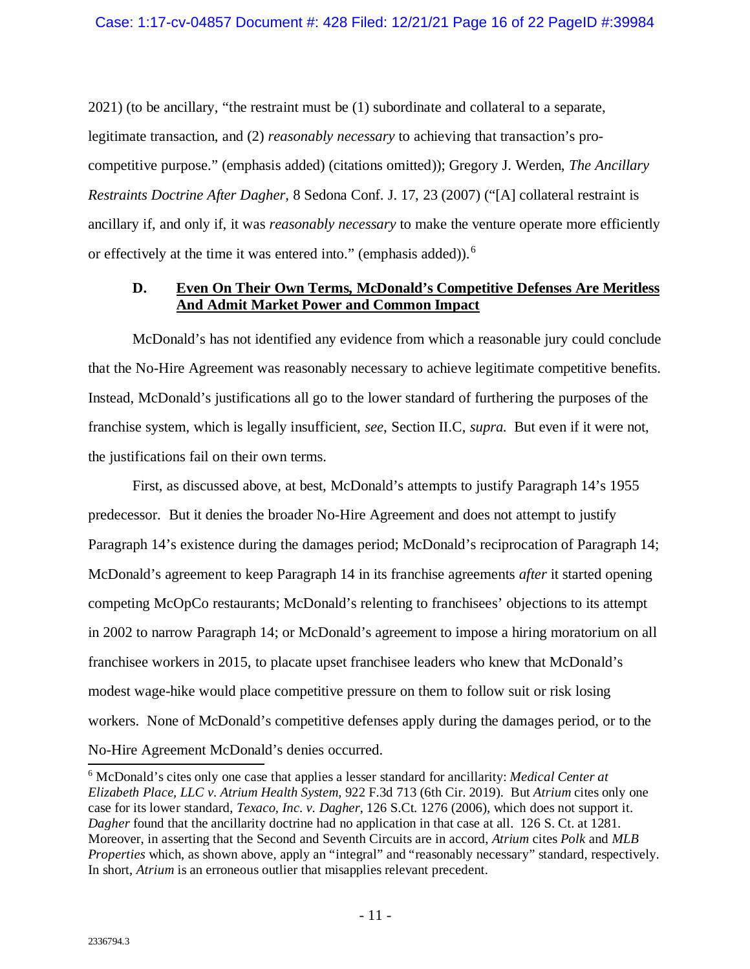2021) (to be ancillary, "the restraint must be (1) subordinate and collateral to a separate, legitimate transaction, and (2) *reasonably necessary* to achieving that transaction's procompetitive purpose." (emphasis added) (citations omitted)); Gregory J. Werden, *The Ancillary Restraints Doctrine After Dagher*, 8 Sedona Conf. J. 17, 23 (2007) ("[A] collateral restraint is ancillary if, and only if, it was *reasonably necessary* to make the venture operate more efficiently or effectively at the time it was entered into." (emphasis added)).<sup>[6](#page-15-1)</sup>

# <span id="page-15-0"></span>**D. Even On Their Own Terms, McDonald's Competitive Defenses Are Meritless And Admit Market Power and Common Impact**

McDonald's has not identified any evidence from which a reasonable jury could conclude that the No-Hire Agreement was reasonably necessary to achieve legitimate competitive benefits. Instead, McDonald's justifications all go to the lower standard of furthering the purposes of the franchise system, which is legally insufficient, *see*, Section II.C, *supra*. But even if it were not, the justifications fail on their own terms.

First, as discussed above, at best, McDonald's attempts to justify Paragraph 14's 1955 predecessor. But it denies the broader No-Hire Agreement and does not attempt to justify Paragraph 14's existence during the damages period; McDonald's reciprocation of Paragraph 14; McDonald's agreement to keep Paragraph 14 in its franchise agreements *after* it started opening competing McOpCo restaurants; McDonald's relenting to franchisees' objections to its attempt in 2002 to narrow Paragraph 14; or McDonald's agreement to impose a hiring moratorium on all franchisee workers in 2015, to placate upset franchisee leaders who knew that McDonald's modest wage-hike would place competitive pressure on them to follow suit or risk losing workers. None of McDonald's competitive defenses apply during the damages period, or to the No-Hire Agreement McDonald's denies occurred. 6 McDonald's cites only one case that applies a lesser standard for ancillarity: *Medical Center at* 

<span id="page-15-1"></span>*Elizabeth Place, LLC v. Atrium Health System*, 922 F.3d 713 (6th Cir. 2019). But *Atrium* cites only one case for its lower standard, *Texaco, Inc. v. Dagher*, 126 S.Ct. 1276 (2006), which does not support it. *Dagher* found that the ancillarity doctrine had no application in that case at all. 126 S. Ct. at 1281. Moreover, in asserting that the Second and Seventh Circuits are in accord, *Atrium* cites *Polk* and *MLB Properties* which, as shown above, apply an "integral" and "reasonably necessary" standard, respectively. In short, *Atrium* is an erroneous outlier that misapplies relevant precedent.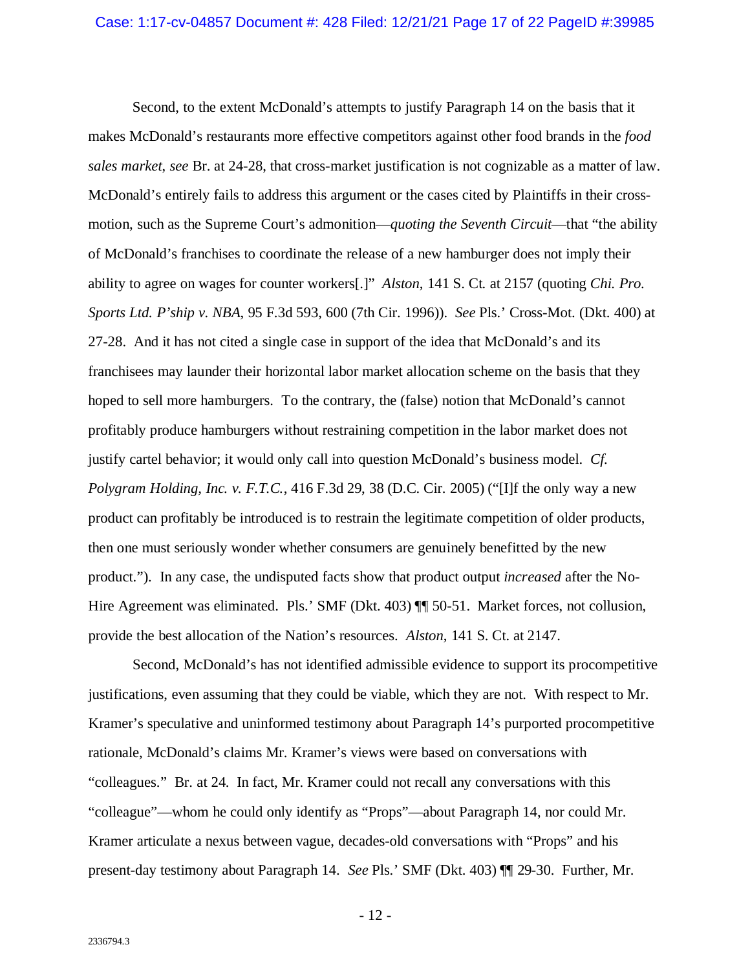Second, to the extent McDonald's attempts to justify Paragraph 14 on the basis that it makes McDonald's restaurants more effective competitors against other food brands in the *food sales market*, *see* Br. at 24-28, that cross-market justification is not cognizable as a matter of law. McDonald's entirely fails to address this argument or the cases cited by Plaintiffs in their crossmotion, such as the Supreme Court's admonition—*quoting the Seventh Circuit*—that "the ability of McDonald's franchises to coordinate the release of a new hamburger does not imply their ability to agree on wages for counter workers[.]" *Alston*, 141 S. Ct. at 2157 (quoting *Chi. Pro. Sports Ltd. P'ship v. NBA*, 95 F.3d 593, 600 (7th Cir. 1996)). *See* Pls.' Cross-Mot. (Dkt. 400) at 27-28. And it has not cited a single case in support of the idea that McDonald's and its franchisees may launder their horizontal labor market allocation scheme on the basis that they hoped to sell more hamburgers. To the contrary, the (false) notion that McDonald's cannot profitably produce hamburgers without restraining competition in the labor market does not justify cartel behavior; it would only call into question McDonald's business model. *Cf. Polygram Holding, Inc. v. F.T.C.*, 416 F.3d 29, 38 (D.C. Cir. 2005) ("[I]f the only way a new product can profitably be introduced is to restrain the legitimate competition of older products, then one must seriously wonder whether consumers are genuinely benefitted by the new product."). In any case, the undisputed facts show that product output *increased* after the No-Hire Agreement was eliminated. Pls.' SMF (Dkt. 403) ¶¶ 50-51. Market forces, not collusion, provide the best allocation of the Nation's resources. *Alston*, 141 S. Ct. at 2147.

Second, McDonald's has not identified admissible evidence to support its procompetitive justifications, even assuming that they could be viable, which they are not. With respect to Mr. Kramer's speculative and uninformed testimony about Paragraph 14's purported procompetitive rationale, McDonald's claims Mr. Kramer's views were based on conversations with "colleagues." Br. at 24. In fact, Mr. Kramer could not recall any conversations with this "colleague"—whom he could only identify as "Props"—about Paragraph 14, nor could Mr. Kramer articulate a nexus between vague, decades-old conversations with "Props" and his present-day testimony about Paragraph 14. *See* Pls.' SMF (Dkt. 403) ¶¶ 29-30. Further, Mr.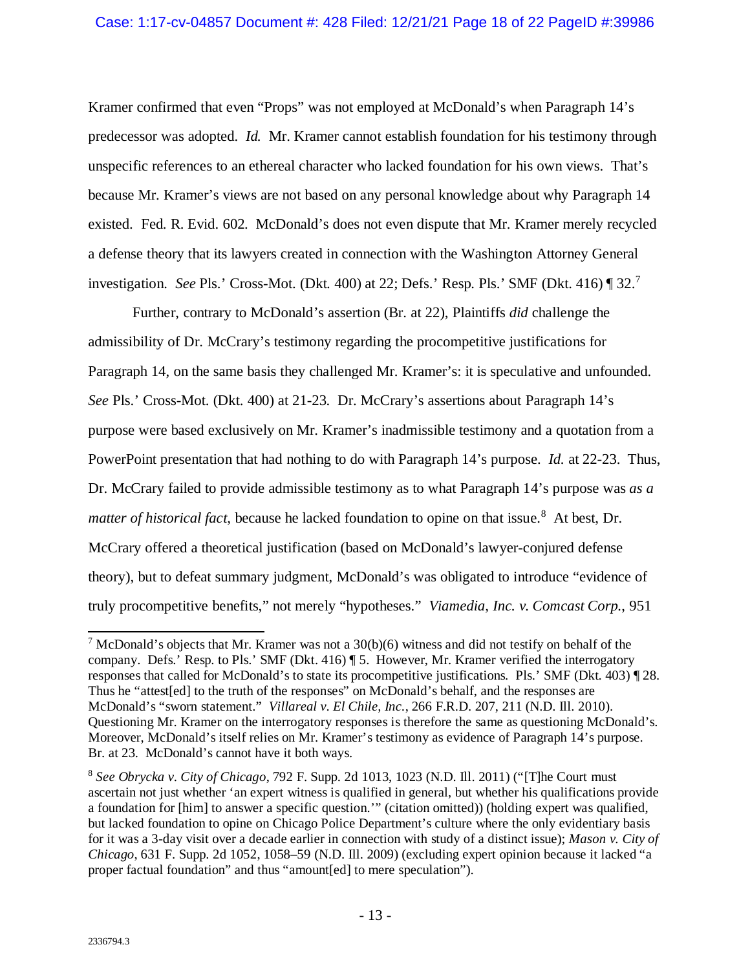### Case: 1:17-cv-04857 Document #: 428 Filed: 12/21/21 Page 18 of 22 PageID #:39986

Kramer confirmed that even "Props" was not employed at McDonald's when Paragraph 14's predecessor was adopted. *Id.* Mr. Kramer cannot establish foundation for his testimony through unspecific references to an ethereal character who lacked foundation for his own views. That's because Mr. Kramer's views are not based on any personal knowledge about why Paragraph 14 existed. Fed. R. Evid. 602. McDonald's does not even dispute that Mr. Kramer merely recycled a defense theory that its lawyers created in connection with the Washington Attorney General investigation. *See* Pls.' Cross-Mot. (Dkt. 400) at 22; Defs.' Resp. Pls.' SMF (Dkt. 416) ¶ 32. [7](#page-17-0)

Further, contrary to McDonald's assertion (Br. at 22), Plaintiffs *did* challenge the admissibility of Dr. McCrary's testimony regarding the procompetitive justifications for Paragraph 14, on the same basis they challenged Mr. Kramer's: it is speculative and unfounded. *See* Pls.' Cross-Mot. (Dkt. 400) at 21-23. Dr. McCrary's assertions about Paragraph 14's purpose were based exclusively on Mr. Kramer's inadmissible testimony and a quotation from a PowerPoint presentation that had nothing to do with Paragraph 14's purpose. *Id.* at 22-23. Thus, Dr. McCrary failed to provide admissible testimony as to what Paragraph 14's purpose was *as a*  matter of historical fact, because he lacked foundation to opine on that issue.<sup>[8](#page-17-1)</sup> At best, Dr. McCrary offered a theoretical justification (based on McDonald's lawyer-conjured defense theory), but to defeat summary judgment, McDonald's was obligated to introduce "evidence of truly procompetitive benefits," not merely "hypotheses." *Viamedia, Inc. v. Comcast Corp.*, 951

<span id="page-17-0"></span><sup>&</sup>lt;sup>7</sup> McDonald's objects that Mr. Kramer was not a  $30(b)(6)$  witness and did not testify on behalf of the company. Defs.' Resp. to Pls.' SMF (Dkt. 416) ¶ 5. However, Mr. Kramer verified the interrogatory responses that called for McDonald's to state its procompetitive justifications. Pls.' SMF (Dkt. 403) ¶ 28. Thus he "attest[ed] to the truth of the responses" on McDonald's behalf, and the responses are McDonald's "sworn statement." *Villareal v. El Chile, Inc.*, 266 F.R.D. 207, 211 (N.D. Ill. 2010). Questioning Mr. Kramer on the interrogatory responses is therefore the same as questioning McDonald's. Moreover, McDonald's itself relies on Mr. Kramer's testimony as evidence of Paragraph 14's purpose. Br. at 23. McDonald's cannot have it both ways.

<span id="page-17-1"></span><sup>8</sup> *See Obrycka v. City of Chicago*, 792 F. Supp. 2d 1013, 1023 (N.D. Ill. 2011) ("[T]he Court must ascertain not just whether 'an expert witness is qualified in general, but whether his qualifications provide a foundation for [him] to answer a specific question.'" (citation omitted)) (holding expert was qualified, but lacked foundation to opine on Chicago Police Department's culture where the only evidentiary basis for it was a 3-day visit over a decade earlier in connection with study of a distinct issue); *Mason v. City of Chicago*, 631 F. Supp. 2d 1052, 1058–59 (N.D. Ill. 2009) (excluding expert opinion because it lacked "a proper factual foundation" and thus "amount[ed] to mere speculation").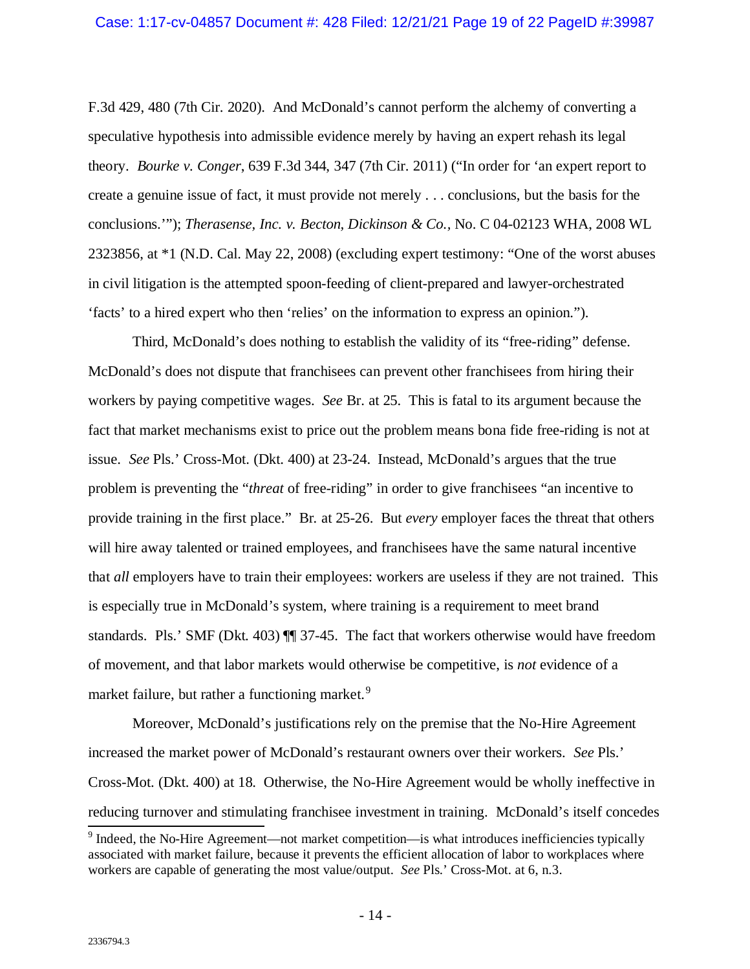#### Case: 1:17-cv-04857 Document #: 428 Filed: 12/21/21 Page 19 of 22 PageID #:39987

F.3d 429, 480 (7th Cir. 2020). And McDonald's cannot perform the alchemy of converting a speculative hypothesis into admissible evidence merely by having an expert rehash its legal theory. *Bourke v. Conger*, 639 F.3d 344, 347 (7th Cir. 2011) ("In order for 'an expert report to create a genuine issue of fact, it must provide not merely . . . conclusions, but the basis for the conclusions.'"); *Therasense, Inc. v. Becton, Dickinson & Co.,* No. C 04-02123 WHA, 2008 WL 2323856, at \*1 (N.D. Cal. May 22, 2008) (excluding expert testimony: "One of the worst abuses in civil litigation is the attempted spoon-feeding of client-prepared and lawyer-orchestrated 'facts' to a hired expert who then 'relies' on the information to express an opinion.").

Third, McDonald's does nothing to establish the validity of its "free-riding" defense. McDonald's does not dispute that franchisees can prevent other franchisees from hiring their workers by paying competitive wages. *See* Br. at 25. This is fatal to its argument because the fact that market mechanisms exist to price out the problem means bona fide free-riding is not at issue. *See* Pls.' Cross-Mot. (Dkt. 400) at 23-24. Instead, McDonald's argues that the true problem is preventing the "*threat* of free-riding" in order to give franchisees "an incentive to provide training in the first place." Br*.* at 25-26.But *every* employer faces the threat that others will hire away talented or trained employees, and franchisees have the same natural incentive that *all* employers have to train their employees: workers are useless if they are not trained. This is especially true in McDonald's system, where training is a requirement to meet brand standards. Pls.' SMF (Dkt. 403) ¶¶ 37-45. The fact that workers otherwise would have freedom of movement, and that labor markets would otherwise be competitive, is *not* evidence of a market failure, but rather a functioning market.<sup>[9](#page-18-0)</sup>

Moreover, McDonald's justifications rely on the premise that the No-Hire Agreement increased the market power of McDonald's restaurant owners over their workers. *See* Pls.' Cross-Mot. (Dkt. 400) at 18. Otherwise, the No-Hire Agreement would be wholly ineffective in reducing turnover and stimulating franchisee investment in training. McDonald's itself concedes  $\frac{9}{9}$  Indeed, the No-Hire Agreement—not market competition—is what introduces inefficiencies typically

<span id="page-18-0"></span>associated with market failure, because it prevents the efficient allocation of labor to workplaces where workers are capable of generating the most value/output. *See* Pls.' Cross-Mot. at 6, n.3.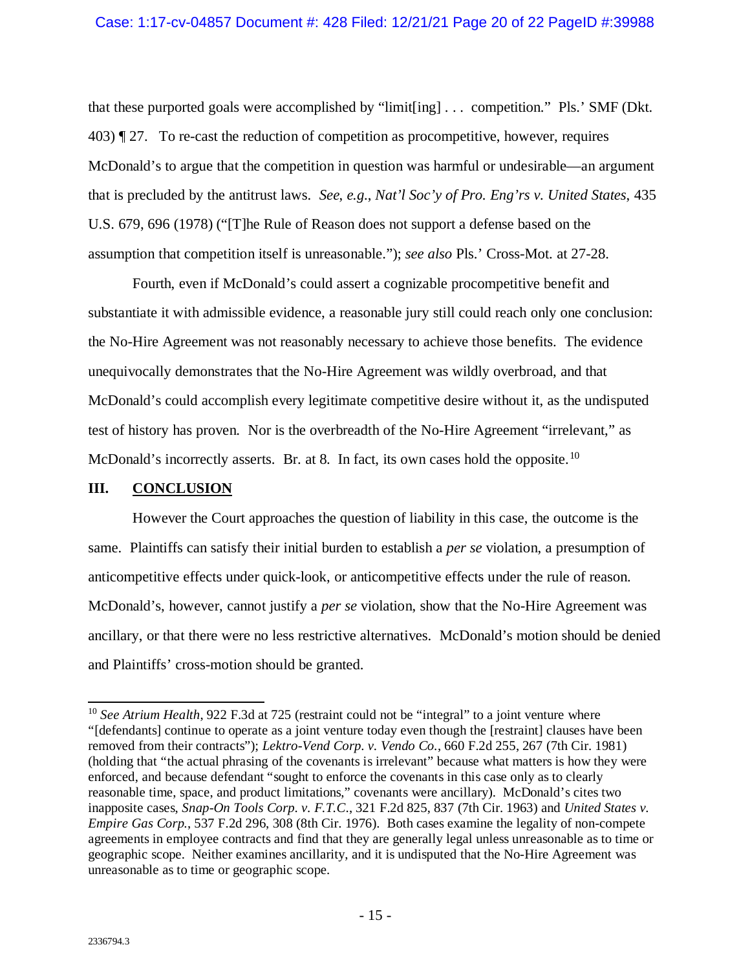that these purported goals were accomplished by "limit[ing] . . . competition." Pls.' SMF (Dkt. 403) ¶ 27. To re-cast the reduction of competition as procompetitive, however, requires McDonald's to argue that the competition in question was harmful or undesirable—an argument that is precluded by the antitrust laws. *See*, *e.g.*, *Nat'l Soc'y of Pro. Eng'rs v. United States*, 435 U.S. 679, 696 (1978) ("[T]he Rule of Reason does not support a defense based on the assumption that competition itself is unreasonable."); *see also* Pls.' Cross-Mot. at 27-28.

Fourth, even if McDonald's could assert a cognizable procompetitive benefit and substantiate it with admissible evidence, a reasonable jury still could reach only one conclusion: the No-Hire Agreement was not reasonably necessary to achieve those benefits. The evidence unequivocally demonstrates that the No-Hire Agreement was wildly overbroad, and that McDonald's could accomplish every legitimate competitive desire without it, as the undisputed test of history has proven. Nor is the overbreadth of the No-Hire Agreement "irrelevant," as McDonald's incorrectly asserts. Br. at 8. In fact, its own cases hold the opposite.<sup>[10](#page-19-1)</sup>

### <span id="page-19-0"></span>**III. CONCLUSION**

However the Court approaches the question of liability in this case, the outcome is the same. Plaintiffs can satisfy their initial burden to establish a *per se* violation, a presumption of anticompetitive effects under quick-look, or anticompetitive effects under the rule of reason. McDonald's, however, cannot justify a *per se* violation, show that the No-Hire Agreement was ancillary, or that there were no less restrictive alternatives. McDonald's motion should be denied and Plaintiffs' cross-motion should be granted.

<span id="page-19-1"></span><sup>&</sup>lt;sup>10</sup> See Atrium Health, 922 F.3d at 725 (restraint could not be "integral" to a joint venture where "[defendants] continue to operate as a joint venture today even though the [restraint] clauses have been removed from their contracts"); *Lektro-Vend Corp. v. Vendo Co.*, 660 F.2d 255, 267 (7th Cir. 1981) (holding that "the actual phrasing of the covenants is irrelevant" because what matters is how they were enforced, and because defendant "sought to enforce the covenants in this case only as to clearly reasonable time, space, and product limitations," covenants were ancillary). McDonald's cites two inapposite cases, *Snap-On Tools Corp. v. F.T.C*., 321 F.2d 825, 837 (7th Cir. 1963) and *United States v. Empire Gas Corp.*, 537 F.2d 296, 308 (8th Cir. 1976). Both cases examine the legality of non-compete agreements in employee contracts and find that they are generally legal unless unreasonable as to time or geographic scope. Neither examines ancillarity, and it is undisputed that the No-Hire Agreement was unreasonable as to time or geographic scope.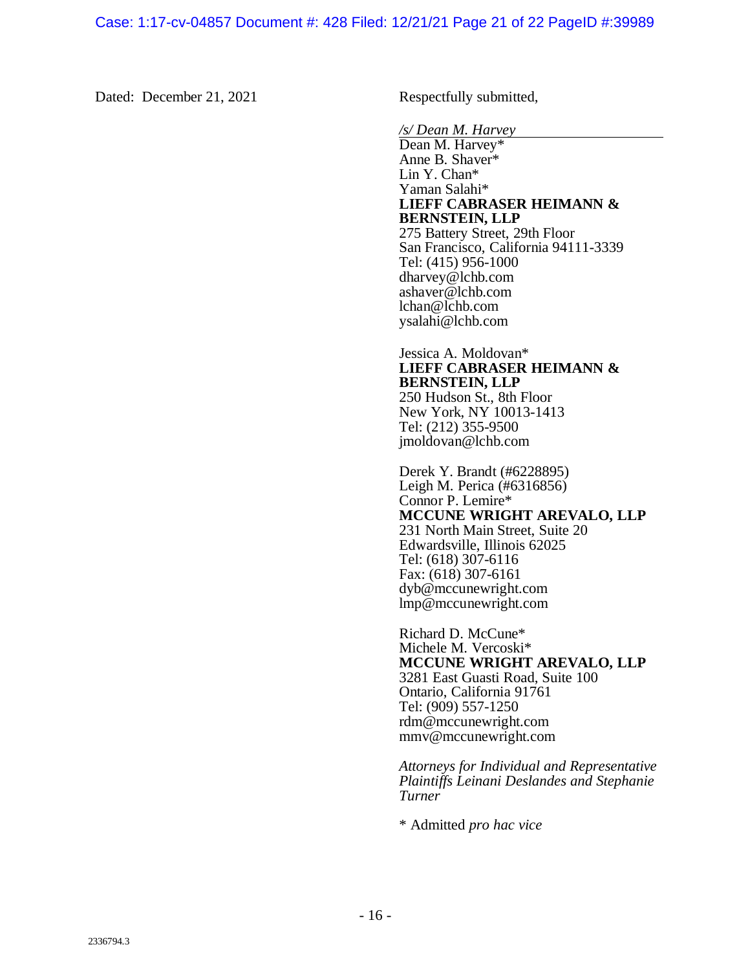Dated: December 21, 2021 Respectfully submitted,

*/s/ Dean M. Harvey*

Dean M. Harvey\* Anne B. Shaver\* Lin Y. Chan\* Yaman Salahi\* **LIEFF CABRASER HEIMANN & BERNSTEIN, LLP** 275 Battery Street, 29th Floor San Francisco, California 94111-3339 Tel: (415) 956-1000 dharvey@lchb.com ashaver@lchb.com lchan@lchb.com ysalahi@lchb.com

# Jessica A. Moldovan\* **LIEFF CABRASER HEIMANN & BERNSTEIN, LLP**

250 Hudson St., 8th Floor New York, NY 10013-1413 Tel: (212) 355-9500 jmoldovan@lchb.com

Derek Y. Brandt (#6228895) Leigh M. Perica (#6316856) Connor P. Lemire\* **MCCUNE WRIGHT AREVALO, LLP** 231 North Main Street, Suite 20 Edwardsville, Illinois 62025 Tel: (618) 307-6116 Fax: (618) 307-6161 dyb@mccunewright.com lmp@mccunewright.com

Richard D. McCune\* Michele M. Vercoski\* **MCCUNE WRIGHT AREVALO, LLP** 3281 East Guasti Road, Suite 100 Ontario, California 91761 Tel: (909) 557-1250 rdm@mccunewright.com mmv@mccunewright.com

*Attorneys for Individual and Representative Plaintiffs Leinani Deslandes and Stephanie Turner*

\* Admitted *pro hac vice*